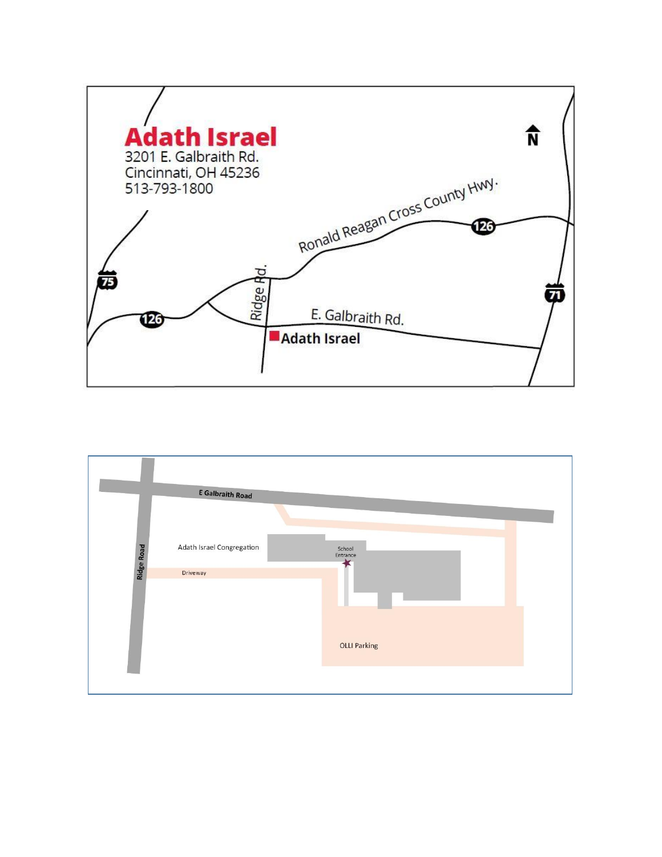